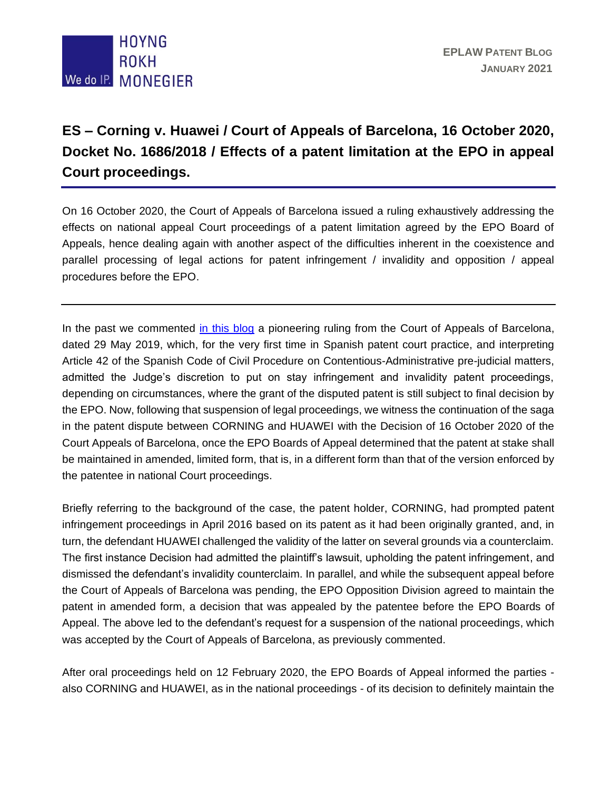

## **ES – Corning v. Huawei / Court of Appeals of Barcelona, 16 October 2020, Docket No. 1686/2018 / Effects of a patent limitation at the EPO in appeal Court proceedings.**

On 16 October 2020, the Court of Appeals of Barcelona issued a ruling exhaustively addressing the effects on national appeal Court proceedings of a patent limitation agreed by the EPO Board of Appeals, hence dealing again with another aspect of the difficulties inherent in the coexistence and parallel processing of legal actions for patent infringement / invalidity and opposition / appeal procedures before the EPO.

In the past we commented [in this blog](http://eplaw.org/es-corning-v-huawei-stay-of-national-proceedings-until-the-issuance-of-a-final-decision-by-the-epo/) a pioneering ruling from the Court of Appeals of Barcelona, dated 29 May 2019, which, for the very first time in Spanish patent court practice, and interpreting Article 42 of the Spanish Code of Civil Procedure on Contentious-Administrative pre-judicial matters, admitted the Judge's discretion to put on stay infringement and invalidity patent proceedings, depending on circumstances, where the grant of the disputed patent is still subject to final decision by the EPO. Now, following that suspension of legal proceedings, we witness the continuation of the saga in the patent dispute between CORNING and HUAWEI with the Decision of 16 October 2020 of the Court Appeals of Barcelona, once the EPO Boards of Appeal determined that the patent at stake shall be maintained in amended, limited form, that is, in a different form than that of the version enforced by the patentee in national Court proceedings.

Briefly referring to the background of the case, the patent holder, CORNING, had prompted patent infringement proceedings in April 2016 based on its patent as it had been originally granted, and, in turn, the defendant HUAWEI challenged the validity of the latter on several grounds via a counterclaim. The first instance Decision had admitted the plaintiff's lawsuit, upholding the patent infringement, and dismissed the defendant's invalidity counterclaim. In parallel, and while the subsequent appeal before the Court of Appeals of Barcelona was pending, the EPO Opposition Division agreed to maintain the patent in amended form, a decision that was appealed by the patentee before the EPO Boards of Appeal. The above led to the defendant's request for a suspension of the national proceedings, which was accepted by the Court of Appeals of Barcelona, as previously commented.

After oral proceedings held on 12 February 2020, the EPO Boards of Appeal informed the parties also CORNING and HUAWEI, as in the national proceedings - of its decision to definitely maintain the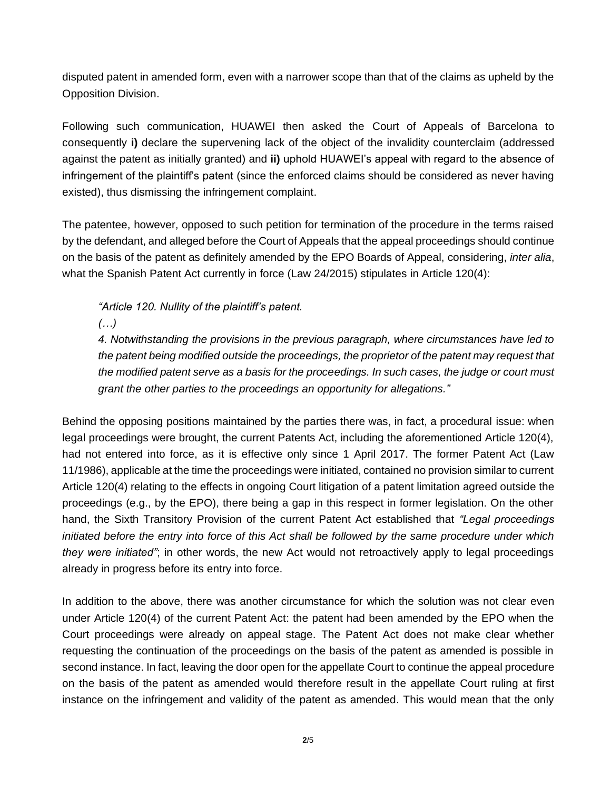disputed patent in amended form, even with a narrower scope than that of the claims as upheld by the Opposition Division.

Following such communication, HUAWEI then asked the Court of Appeals of Barcelona to consequently **i)** declare the supervening lack of the object of the invalidity counterclaim (addressed against the patent as initially granted) and **ii)** uphold HUAWEI's appeal with regard to the absence of infringement of the plaintiff's patent (since the enforced claims should be considered as never having existed), thus dismissing the infringement complaint.

The patentee, however, opposed to such petition for termination of the procedure in the terms raised by the defendant, and alleged before the Court of Appeals that the appeal proceedings should continue on the basis of the patent as definitely amended by the EPO Boards of Appeal, considering, *inter alia*, what the Spanish Patent Act currently in force (Law 24/2015) stipulates in Article 120(4):

*"Article 120. Nullity of the plaintiff's patent.*

*(…)*

*4. Notwithstanding the provisions in the previous paragraph, where circumstances have led to the patent being modified outside the proceedings, the proprietor of the patent may request that the modified patent serve as a basis for the proceedings. In such cases, the judge or court must grant the other parties to the proceedings an opportunity for allegations."*

Behind the opposing positions maintained by the parties there was, in fact, a procedural issue: when legal proceedings were brought, the current Patents Act, including the aforementioned Article 120(4), had not entered into force, as it is effective only since 1 April 2017. The former Patent Act (Law 11/1986), applicable at the time the proceedings were initiated, contained no provision similar to current Article 120(4) relating to the effects in ongoing Court litigation of a patent limitation agreed outside the proceedings (e.g., by the EPO), there being a gap in this respect in former legislation. On the other hand, the Sixth Transitory Provision of the current Patent Act established that *"Legal proceedings initiated before the entry into force of this Act shall be followed by the same procedure under which they were initiated"*; in other words, the new Act would not retroactively apply to legal proceedings already in progress before its entry into force.

In addition to the above, there was another circumstance for which the solution was not clear even under Article 120(4) of the current Patent Act: the patent had been amended by the EPO when the Court proceedings were already on appeal stage. The Patent Act does not make clear whether requesting the continuation of the proceedings on the basis of the patent as amended is possible in second instance. In fact, leaving the door open for the appellate Court to continue the appeal procedure on the basis of the patent as amended would therefore result in the appellate Court ruling at first instance on the infringement and validity of the patent as amended. This would mean that the only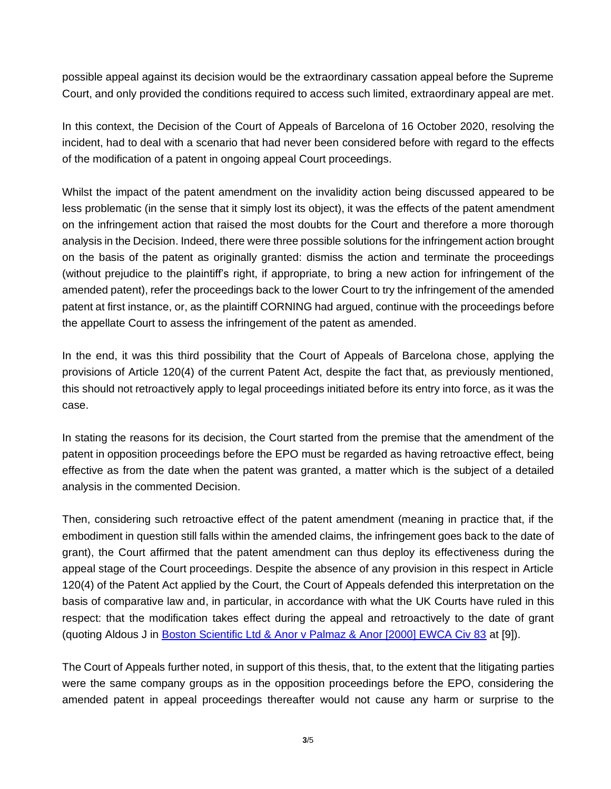possible appeal against its decision would be the extraordinary cassation appeal before the Supreme Court, and only provided the conditions required to access such limited, extraordinary appeal are met.

In this context, the Decision of the Court of Appeals of Barcelona of 16 October 2020, resolving the incident, had to deal with a scenario that had never been considered before with regard to the effects of the modification of a patent in ongoing appeal Court proceedings.

Whilst the impact of the patent amendment on the invalidity action being discussed appeared to be less problematic (in the sense that it simply lost its object), it was the effects of the patent amendment on the infringement action that raised the most doubts for the Court and therefore a more thorough analysis in the Decision. Indeed, there were three possible solutions for the infringement action brought on the basis of the patent as originally granted: dismiss the action and terminate the proceedings (without prejudice to the plaintiff's right, if appropriate, to bring a new action for infringement of the amended patent), refer the proceedings back to the lower Court to try the infringement of the amended patent at first instance, or, as the plaintiff CORNING had argued, continue with the proceedings before the appellate Court to assess the infringement of the patent as amended.

In the end, it was this third possibility that the Court of Appeals of Barcelona chose, applying the provisions of Article 120(4) of the current Patent Act, despite the fact that, as previously mentioned, this should not retroactively apply to legal proceedings initiated before its entry into force, as it was the case.

In stating the reasons for its decision, the Court started from the premise that the amendment of the patent in opposition proceedings before the EPO must be regarded as having retroactive effect, being effective as from the date when the patent was granted, a matter which is the subject of a detailed analysis in the commented Decision.

Then, considering such retroactive effect of the patent amendment (meaning in practice that, if the embodiment in question still falls within the amended claims, the infringement goes back to the date of grant), the Court affirmed that the patent amendment can thus deploy its effectiveness during the appeal stage of the Court proceedings. Despite the absence of any provision in this respect in Article 120(4) of the Patent Act applied by the Court, the Court of Appeals defended this interpretation on the basis of comparative law and, in particular, in accordance with what the UK Courts have ruled in this respect: that the modification takes effect during the appeal and retroactively to the date of grant (quoting Aldous J in [Boston Scientific Ltd & Anor v Palmaz & Anor \[2000\] EWCA Civ 83](https://www.bailii.org/ew/cases/EWCA/Civ/2000/83.html) at [9]).

The Court of Appeals further noted, in support of this thesis, that, to the extent that the litigating parties were the same company groups as in the opposition proceedings before the EPO, considering the amended patent in appeal proceedings thereafter would not cause any harm or surprise to the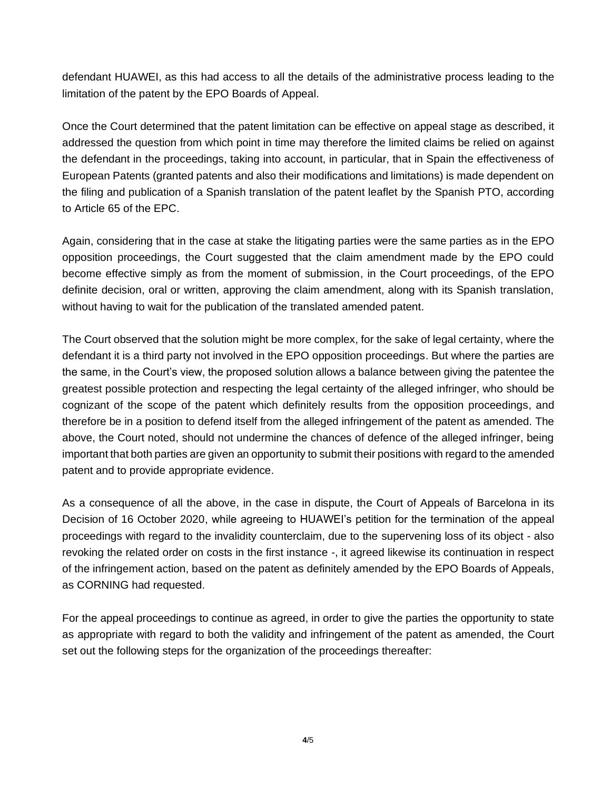defendant HUAWEI, as this had access to all the details of the administrative process leading to the limitation of the patent by the EPO Boards of Appeal.

Once the Court determined that the patent limitation can be effective on appeal stage as described, it addressed the question from which point in time may therefore the limited claims be relied on against the defendant in the proceedings, taking into account, in particular, that in Spain the effectiveness of European Patents (granted patents and also their modifications and limitations) is made dependent on the filing and publication of a Spanish translation of the patent leaflet by the Spanish PTO, according to Article 65 of the EPC.

Again, considering that in the case at stake the litigating parties were the same parties as in the EPO opposition proceedings, the Court suggested that the claim amendment made by the EPO could become effective simply as from the moment of submission, in the Court proceedings, of the EPO definite decision, oral or written, approving the claim amendment, along with its Spanish translation, without having to wait for the publication of the translated amended patent.

The Court observed that the solution might be more complex, for the sake of legal certainty, where the defendant it is a third party not involved in the EPO opposition proceedings. But where the parties are the same, in the Court's view, the proposed solution allows a balance between giving the patentee the greatest possible protection and respecting the legal certainty of the alleged infringer, who should be cognizant of the scope of the patent which definitely results from the opposition proceedings, and therefore be in a position to defend itself from the alleged infringement of the patent as amended. The above, the Court noted, should not undermine the chances of defence of the alleged infringer, being important that both parties are given an opportunity to submit their positions with regard to the amended patent and to provide appropriate evidence.

As a consequence of all the above, in the case in dispute, the Court of Appeals of Barcelona in its Decision of 16 October 2020, while agreeing to HUAWEI's petition for the termination of the appeal proceedings with regard to the invalidity counterclaim, due to the supervening loss of its object - also revoking the related order on costs in the first instance -, it agreed likewise its continuation in respect of the infringement action, based on the patent as definitely amended by the EPO Boards of Appeals, as CORNING had requested.

For the appeal proceedings to continue as agreed, in order to give the parties the opportunity to state as appropriate with regard to both the validity and infringement of the patent as amended, the Court set out the following steps for the organization of the proceedings thereafter: